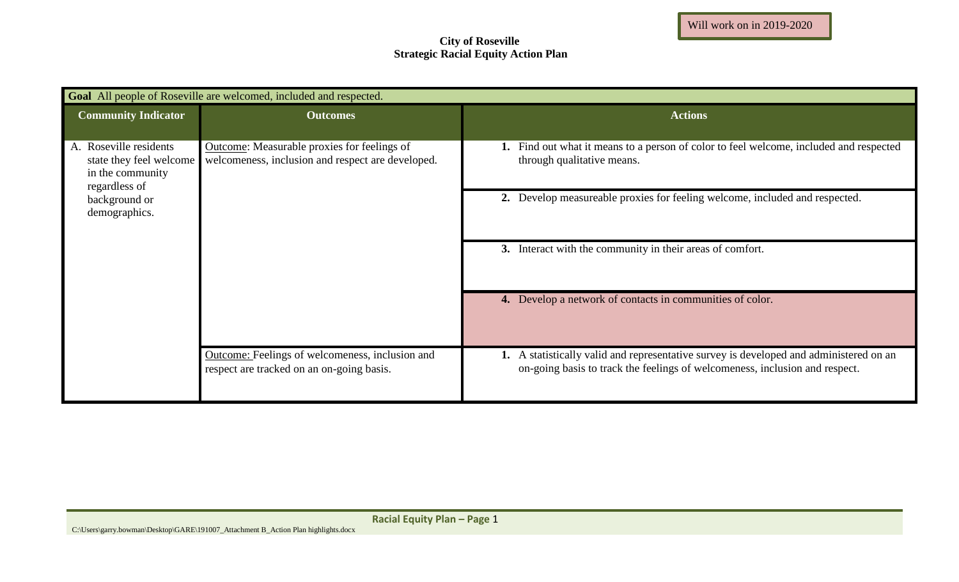## **City of Roseville Strategic Racial Equity Action Plan**

| <b>Goal</b> All people of Roseville are welcomed, included and respected.                                                |                                                                                                  |                                                                                                                                                                       |  |  |
|--------------------------------------------------------------------------------------------------------------------------|--------------------------------------------------------------------------------------------------|-----------------------------------------------------------------------------------------------------------------------------------------------------------------------|--|--|
| <b>Community Indicator</b>                                                                                               | <b>Outcomes</b>                                                                                  | <b>Actions</b>                                                                                                                                                        |  |  |
| A. Roseville residents<br>state they feel welcome<br>in the community<br>regardless of<br>background or<br>demographics. | Outcome: Measurable proxies for feelings of<br>welcomeness, inclusion and respect are developed. | 1. Find out what it means to a person of color to feel welcome, included and respected<br>through qualitative means.                                                  |  |  |
|                                                                                                                          |                                                                                                  | 2. Develop measureable proxies for feeling welcome, included and respected.                                                                                           |  |  |
|                                                                                                                          |                                                                                                  | 3. Interact with the community in their areas of comfort.                                                                                                             |  |  |
|                                                                                                                          |                                                                                                  | 4. Develop a network of contacts in communities of color.                                                                                                             |  |  |
|                                                                                                                          | Outcome: Feelings of welcomeness, inclusion and<br>respect are tracked on an on-going basis.     | 1. A statistically valid and representative survey is developed and administered on an<br>on-going basis to track the feelings of welcomeness, inclusion and respect. |  |  |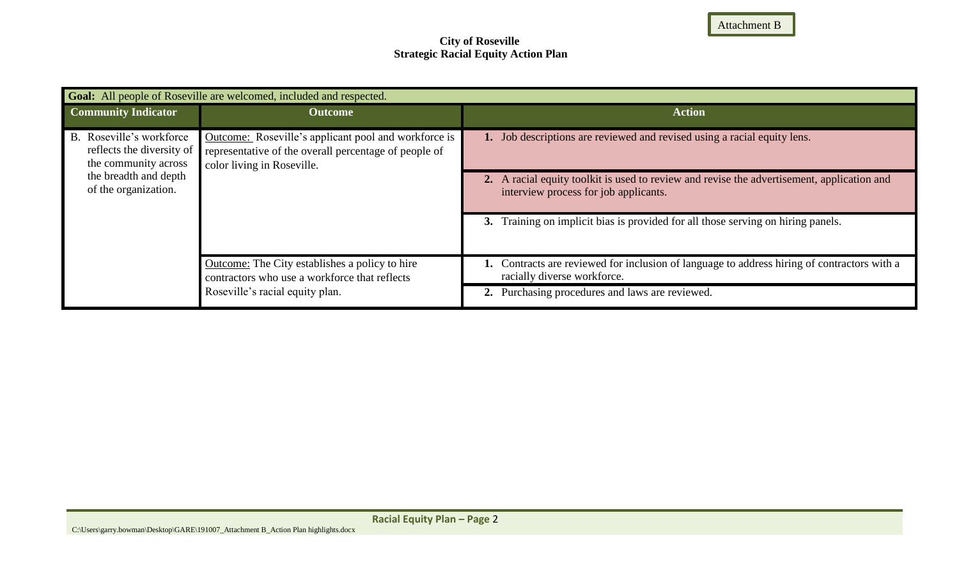Attachment B

## **City of Roseville Strategic Racial Equity Action Plan**

| <b>Goal:</b> All people of Roseville are welcomed, included and respected.                                                     |                                                                                                                                             |                                                                                                                                     |  |  |
|--------------------------------------------------------------------------------------------------------------------------------|---------------------------------------------------------------------------------------------------------------------------------------------|-------------------------------------------------------------------------------------------------------------------------------------|--|--|
| <b>Community Indicator</b>                                                                                                     | <b>Outcome</b>                                                                                                                              | <b>Action</b>                                                                                                                       |  |  |
| B. Roseville's workforce<br>reflects the diversity of<br>the community across<br>the breadth and depth<br>of the organization. | Outcome: Roseville's applicant pool and workforce is<br>representative of the overall percentage of people of<br>color living in Roseville. | Job descriptions are reviewed and revised using a racial equity lens.                                                               |  |  |
|                                                                                                                                |                                                                                                                                             | 2. A racial equity toolkit is used to review and revise the advertisement, application and<br>interview process for job applicants. |  |  |
|                                                                                                                                |                                                                                                                                             | Training on implicit bias is provided for all those serving on hiring panels.<br>3.                                                 |  |  |
|                                                                                                                                | <b>Outcome:</b> The City establishes a policy to hire<br>contractors who use a workforce that reflects<br>Roseville's racial equity plan.   | Contracts are reviewed for inclusion of language to address hiring of contractors with a<br>racially diverse workforce.             |  |  |
|                                                                                                                                |                                                                                                                                             | Purchasing procedures and laws are reviewed.<br>2.                                                                                  |  |  |

**Racial Equity Plan – Page** 2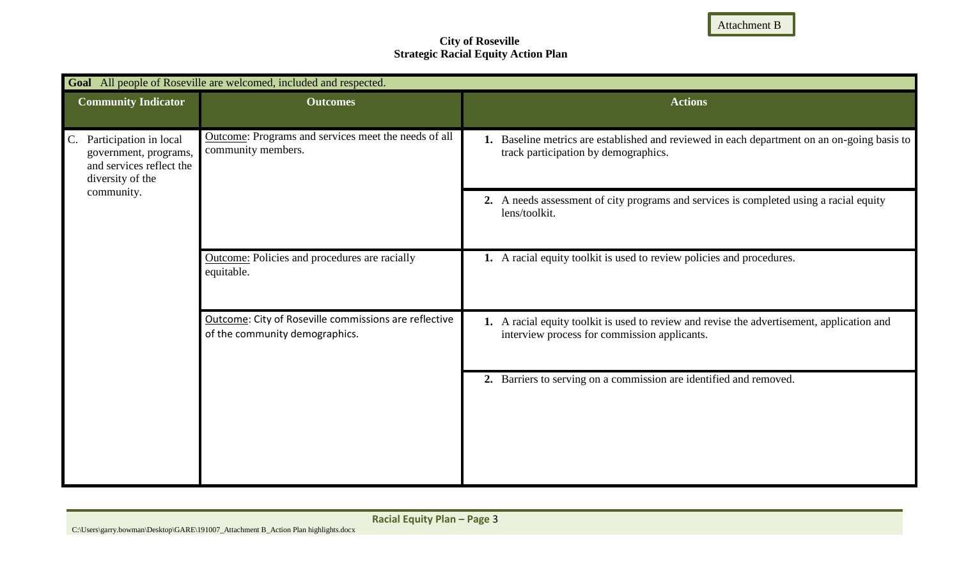Attachment B

## **City of Roseville Strategic Racial Equity Action Plan**

| Goal All people of Roseville are welcomed, included and respected.                                                           |                                                                                         |                                                                                                                                            |  |  |
|------------------------------------------------------------------------------------------------------------------------------|-----------------------------------------------------------------------------------------|--------------------------------------------------------------------------------------------------------------------------------------------|--|--|
| <b>Community Indicator</b>                                                                                                   | <b>Outcomes</b>                                                                         | <b>Actions</b>                                                                                                                             |  |  |
| $C_{\cdot}$<br>Participation in local<br>government, programs,<br>and services reflect the<br>diversity of the<br>community. | Outcome: Programs and services meet the needs of all<br>community members.              | 1. Baseline metrics are established and reviewed in each department on an on-going basis to<br>track participation by demographics.        |  |  |
|                                                                                                                              |                                                                                         | 2. A needs assessment of city programs and services is completed using a racial equity<br>lens/toolkit.                                    |  |  |
|                                                                                                                              | <b>Outcome:</b> Policies and procedures are racially<br>equitable.                      | 1. A racial equity toolkit is used to review policies and procedures.                                                                      |  |  |
|                                                                                                                              | Outcome: City of Roseville commissions are reflective<br>of the community demographics. | 1. A racial equity toolkit is used to review and revise the advertisement, application and<br>interview process for commission applicants. |  |  |
|                                                                                                                              |                                                                                         | Barriers to serving on a commission are identified and removed.<br>2.                                                                      |  |  |